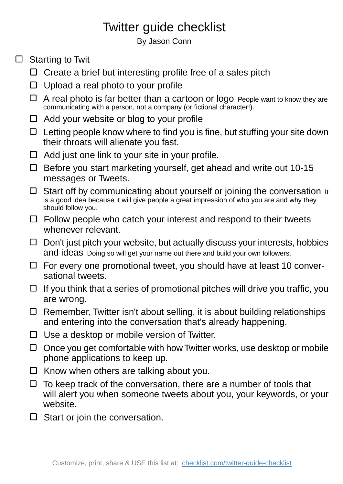## Twitter guide checklist

By Jason Conn

- $\Box$  Starting to Twit
	- $\Box$  Create a brief but interesting profile free of a sales pitch
	- $\Box$  Upload a real photo to your profile
	- $\Box$  A real photo is far better than a cartoon or logo People want to know they are communicating with a person, not a company (or fictional character!).
	- Add your website or blog to your profile
	- $\Box$  Letting people know where to find you is fine, but stuffing your site down their throats will alienate you fast.
	- $\Box$  Add just one link to your site in your profile.
	- $\Box$  Before you start marketing yourself, get ahead and write out 10-15 messages or Tweets.
	- $\Box$  Start off by communicating about yourself or joining the conversation It is a good idea because it will give people a great impression of who you are and why they should follow you.
	- $\Box$  Follow people who catch your interest and respond to their tweets whenever relevant.
	- $\Box$  Don't just pitch your website, but actually discuss your interests, hobbies and ideas Doing so will get your name out there and build your own followers.
	- $\Box$  For every one promotional tweet, you should have at least 10 conversational tweets.
	- $\Box$  If you think that a series of promotional pitches will drive you traffic, you are wrong.
	- $\Box$  Remember, Twitter isn't about selling, it is about building relationships and entering into the conversation that's already happening.
	- $\Box$  Use a desktop or mobile version of Twitter.
	- $\Box$  Once you get comfortable with how Twitter works, use desktop or mobile phone applications to keep up.
	- $\Box$  Know when others are talking about you.
	- $\Box$  To keep track of the conversation, there are a number of tools that will alert you when someone tweets about you, your keywords, or your website.
	- $\Box$  Start or join the conversation.